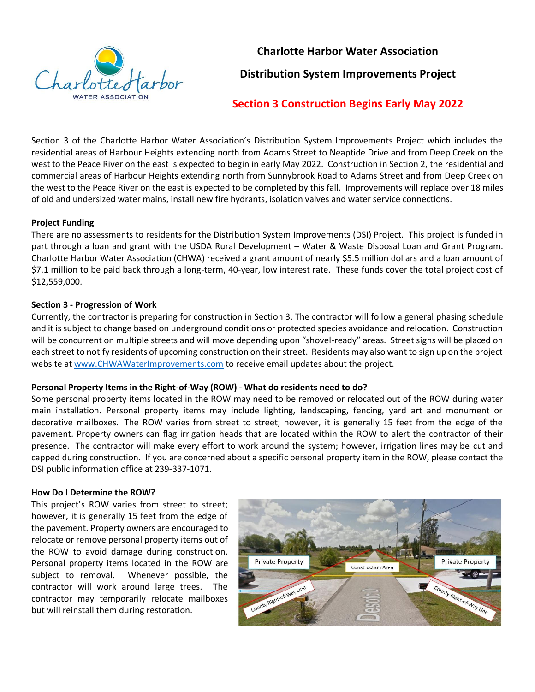

**Charlotte Harbor Water Association**

**Distribution System Improvements Project**

# **Section 3 Construction Begins Early May 2022**

Section 3 of the Charlotte Harbor Water Association's Distribution System Improvements Project which includes the residential areas of Harbour Heights extending north from Adams Street to Neaptide Drive and from Deep Creek on the west to the Peace River on the east is expected to begin in early May 2022. Construction in Section 2, the residential and commercial areas of Harbour Heights extending north from Sunnybrook Road to Adams Street and from Deep Creek on the west to the Peace River on the east is expected to be completed by this fall. Improvements will replace over 18 miles of old and undersized water mains, install new fire hydrants, isolation valves and water service connections.

# **Project Funding**

There are no assessments to residents for the Distribution System Improvements (DSI) Project. This project is funded in part through a loan and grant with the USDA Rural Development – Water & Waste Disposal Loan and Grant Program. Charlotte Harbor Water Association (CHWA) received a grant amount of nearly \$5.5 million dollars and a loan amount of \$7.1 million to be paid back through a long-term, 40-year, low interest rate. These funds cover the total project cost of \$12,559,000.

# **Section 3 - Progression of Work**

Currently, the contractor is preparing for construction in Section 3. The contractor will follow a general phasing schedule and it is subject to change based on underground conditions or protected species avoidance and relocation. Construction will be concurrent on multiple streets and will move depending upon "shovel-ready" areas. Street signs will be placed on each street to notify residents of upcoming construction on their street. Residents may also want to sign up on the project website at [www.CHWAWaterImprovements.com](http://www.chwawaterimprovements.com/) to receive email updates about the project.

## **Personal Property Items in the Right-of-Way (ROW) - What do residents need to do?**

Some personal property items located in the ROW may need to be removed or relocated out of the ROW during water main installation. Personal property items may include lighting, landscaping, fencing, yard art and monument or decorative mailboxes. The ROW varies from street to street; however, it is generally 15 feet from the edge of the pavement. Property owners can flag irrigation heads that are located within the ROW to alert the contractor of their presence. The contractor will make every effort to work around the system; however, irrigation lines may be cut and capped during construction. If you are concerned about a specific personal property item in the ROW, please contact the DSI public information office at 239-337-1071.

## **How Do I Determine the ROW?**

This project's ROW varies from street to street; however, it is generally 15 feet from the edge of the pavement. Property owners are encouraged to relocate or remove personal property items out of the ROW to avoid damage during construction. Personal property items located in the ROW are subject to removal. Whenever possible, the contractor will work around large trees. The contractor may temporarily relocate mailboxes but will reinstall them during restoration.